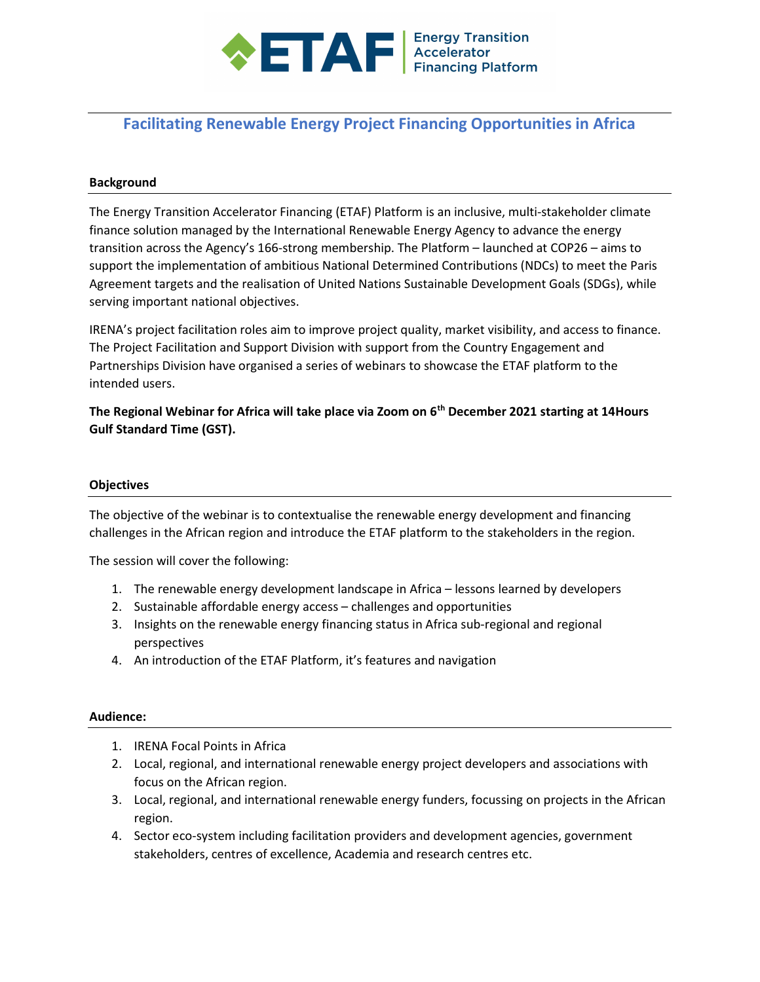

# Facilitating Renewable Energy Project Financing Opportunities in Africa

#### Background

The Energy Transition Accelerator Financing (ETAF) Platform is an inclusive, multi-stakeholder climate finance solution managed by the International Renewable Energy Agency to advance the energy transition across the Agency's 166-strong membership. The Platform – launched at COP26 – aims to support the implementation of ambitious National Determined Contributions (NDCs) to meet the Paris Agreement targets and the realisation of United Nations Sustainable Development Goals (SDGs), while serving important national objectives.

IRENA's project facilitation roles aim to improve project quality, market visibility, and access to finance. The Project Facilitation and Support Division with support from the Country Engagement and Partnerships Division have organised a series of webinars to showcase the ETAF platform to the intended users.

The Regional Webinar for Africa will take place via Zoom on 6<sup>th</sup> December 2021 starting at 14Hours Gulf Standard Time (GST).

#### **Objectives**

The objective of the webinar is to contextualise the renewable energy development and financing challenges in the African region and introduce the ETAF platform to the stakeholders in the region.

The session will cover the following:

- 1. The renewable energy development landscape in Africa lessons learned by developers
- 2. Sustainable affordable energy access challenges and opportunities
- 3. Insights on the renewable energy financing status in Africa sub-regional and regional perspectives
- 4. An introduction of the ETAF Platform, it's features and navigation

#### Audience:

- 1. IRENA Focal Points in Africa
- 2. Local, regional, and international renewable energy project developers and associations with focus on the African region.
- 3. Local, regional, and international renewable energy funders, focussing on projects in the African region.
- 4. Sector eco-system including facilitation providers and development agencies, government stakeholders, centres of excellence, Academia and research centres etc.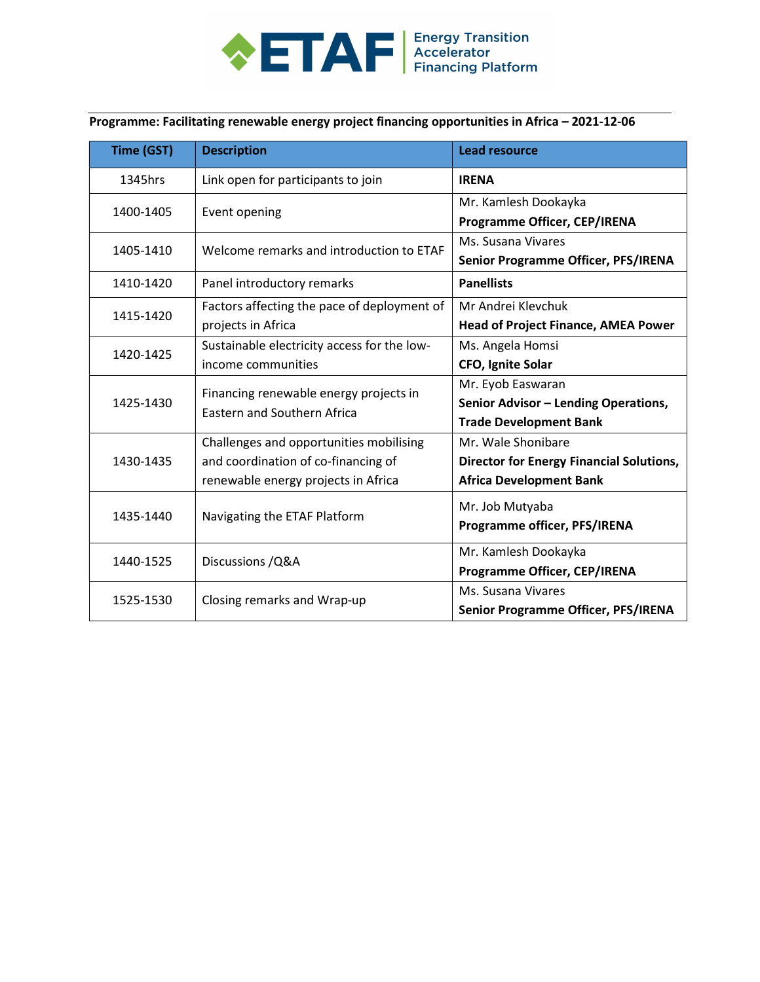

Programme: Facilitating renewable energy project financing opportunities in Africa – 2021-12-06

| Time (GST) | <b>Description</b>                                                           | <b>Lead resource</b>                            |
|------------|------------------------------------------------------------------------------|-------------------------------------------------|
| 1345hrs    | Link open for participants to join                                           | <b>IRENA</b>                                    |
| 1400-1405  | Event opening                                                                | Mr. Kamlesh Dookayka                            |
|            |                                                                              | Programme Officer, CEP/IRENA                    |
| 1405-1410  | Welcome remarks and introduction to ETAF                                     | Ms. Susana Vivares                              |
|            |                                                                              | Senior Programme Officer, PFS/IRENA             |
| 1410-1420  | Panel introductory remarks                                                   | <b>Panellists</b>                               |
| 1415-1420  | Factors affecting the pace of deployment of                                  | Mr Andrei Klevchuk                              |
|            | projects in Africa                                                           | <b>Head of Project Finance, AMEA Power</b>      |
| 1420-1425  | Sustainable electricity access for the low-                                  | Ms. Angela Homsi                                |
|            | income communities                                                           | CFO, Ignite Solar                               |
| 1425-1430  | Financing renewable energy projects in<br><b>Eastern and Southern Africa</b> | Mr. Eyob Easwaran                               |
|            |                                                                              | Senior Advisor - Lending Operations,            |
|            |                                                                              | <b>Trade Development Bank</b>                   |
| 1430-1435  | Challenges and opportunities mobilising                                      | Mr. Wale Shonibare                              |
|            | and coordination of co-financing of                                          | <b>Director for Energy Financial Solutions,</b> |
|            | renewable energy projects in Africa                                          | <b>Africa Development Bank</b>                  |
| 1435-1440  | Navigating the ETAF Platform                                                 | Mr. Job Mutyaba                                 |
|            |                                                                              | Programme officer, PFS/IRENA                    |
| 1440-1525  | Discussions / Q& A                                                           | Mr. Kamlesh Dookayka                            |
|            |                                                                              | Programme Officer, CEP/IRENA                    |
| 1525-1530  | Closing remarks and Wrap-up                                                  | Ms. Susana Vivares                              |
|            |                                                                              | Senior Programme Officer, PFS/IRENA             |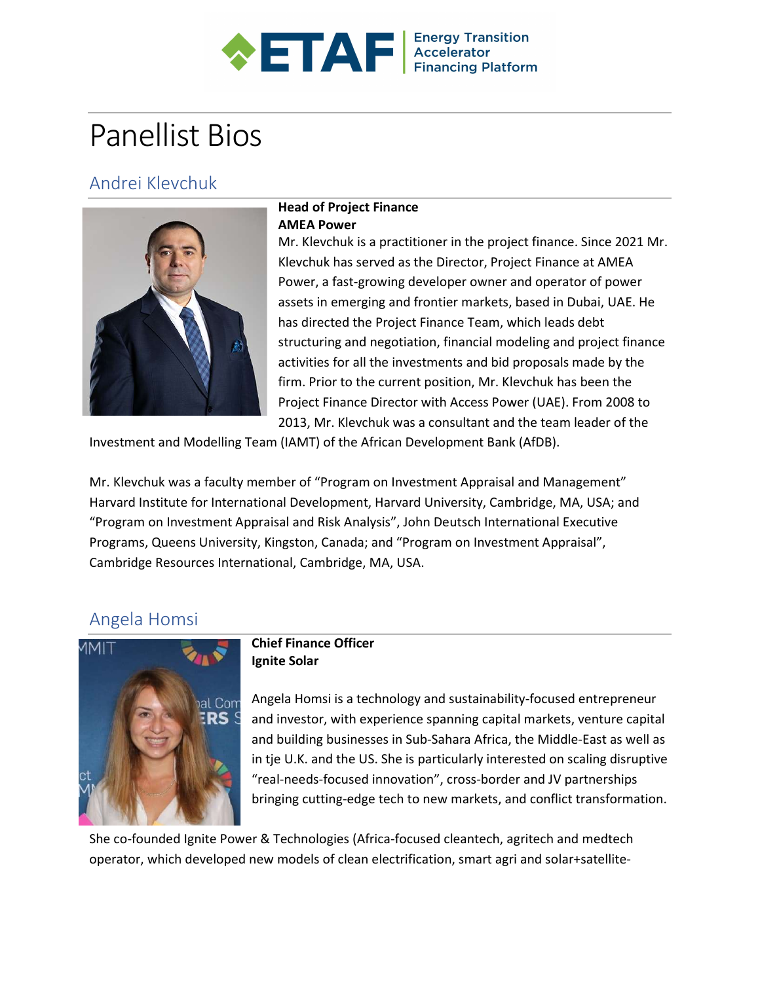

# Panellist Bios

# Andrei Klevchuk



## Head of Project Finance AMEA Power

Mr. Klevchuk is a practitioner in the project finance. Since 2021 Mr. Klevchuk has served as the Director, Project Finance at AMEA Power, a fast-growing developer owner and operator of power assets in emerging and frontier markets, based in Dubai, UAE. He has directed the Project Finance Team, which leads debt structuring and negotiation, financial modeling and project finance activities for all the investments and bid proposals made by the firm. Prior to the current position, Mr. Klevchuk has been the Project Finance Director with Access Power (UAE). From 2008 to 2013, Mr. Klevchuk was a consultant and the team leader of the

Investment and Modelling Team (IAMT) of the African Development Bank (AfDB).

Mr. Klevchuk was a faculty member of "Program on Investment Appraisal and Management" Harvard Institute for International Development, Harvard University, Cambridge, MA, USA; and "Program on Investment Appraisal and Risk Analysis", John Deutsch International Executive Programs, Queens University, Kingston, Canada; and "Program on Investment Appraisal", Cambridge Resources International, Cambridge, MA, USA.

# Angela Homsi



### Chief Finance Officer Ignite Solar

Angela Homsi is a technology and sustainability-focused entrepreneur and investor, with experience spanning capital markets, venture capital and building businesses in Sub-Sahara Africa, the Middle-East as well as in tje U.K. and the US. She is particularly interested on scaling disruptive "real-needs-focused innovation", cross-border and JV partnerships bringing cutting-edge tech to new markets, and conflict transformation.

She co-founded Ignite Power & Technologies (Africa-focused cleantech, agritech and medtech operator, which developed new models of clean electrification, smart agri and solar+satellite-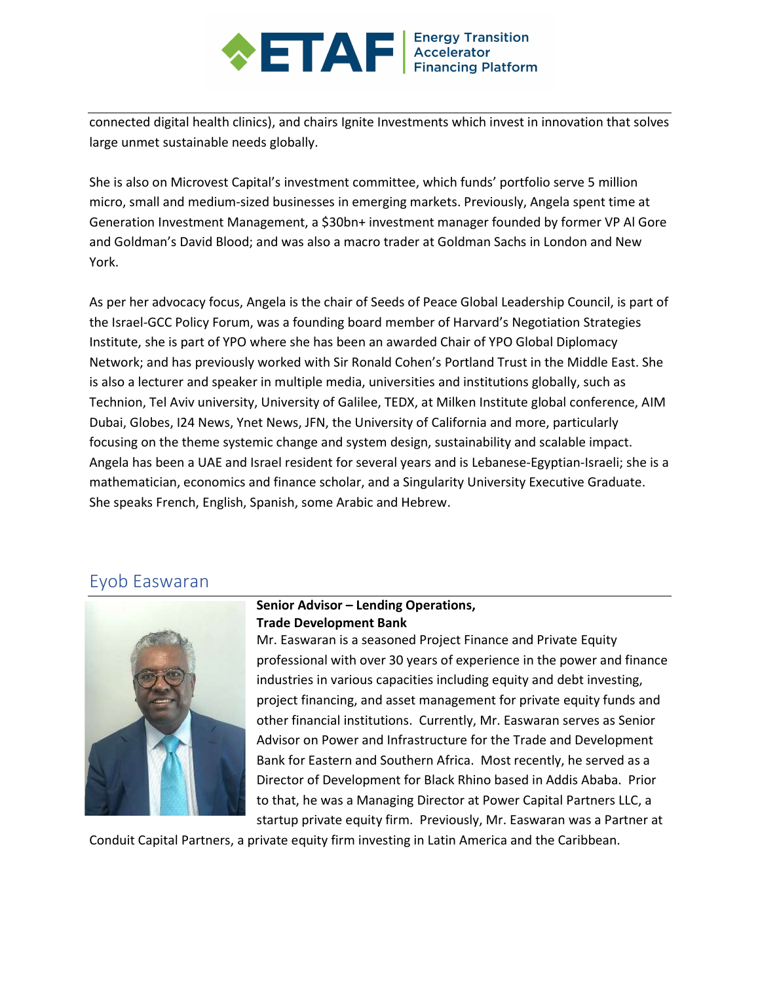# **AF** Energy Transition

connected digital health clinics), and chairs Ignite Investments which invest in innovation that solves large unmet sustainable needs globally.

She is also on Microvest Capital's investment committee, which funds' portfolio serve 5 million micro, small and medium-sized businesses in emerging markets. Previously, Angela spent time at Generation Investment Management, a \$30bn+ investment manager founded by former VP Al Gore and Goldman's David Blood; and was also a macro trader at Goldman Sachs in London and New York.

As per her advocacy focus, Angela is the chair of Seeds of Peace Global Leadership Council, is part of the Israel-GCC Policy Forum, was a founding board member of Harvard's Negotiation Strategies Institute, she is part of YPO where she has been an awarded Chair of YPO Global Diplomacy Network; and has previously worked with Sir Ronald Cohen's Portland Trust in the Middle East. She is also a lecturer and speaker in multiple media, universities and institutions globally, such as Technion, Tel Aviv university, University of Galilee, TEDX, at Milken Institute global conference, AIM Dubai, Globes, I24 News, Ynet News, JFN, the University of California and more, particularly focusing on the theme systemic change and system design, sustainability and scalable impact. Angela has been a UAE and Israel resident for several years and is Lebanese-Egyptian-Israeli; she is a mathematician, economics and finance scholar, and a Singularity University Executive Graduate. She speaks French, English, Spanish, some Arabic and Hebrew.

# Eyob Easwaran



### Senior Advisor – Lending Operations, Trade Development Bank

Mr. Easwaran is a seasoned Project Finance and Private Equity professional with over 30 years of experience in the power and finance industries in various capacities including equity and debt investing, project financing, and asset management for private equity funds and other financial institutions. Currently, Mr. Easwaran serves as Senior Advisor on Power and Infrastructure for the Trade and Development Bank for Eastern and Southern Africa. Most recently, he served as a Director of Development for Black Rhino based in Addis Ababa. Prior to that, he was a Managing Director at Power Capital Partners LLC, a startup private equity firm. Previously, Mr. Easwaran was a Partner at

Conduit Capital Partners, a private equity firm investing in Latin America and the Caribbean.